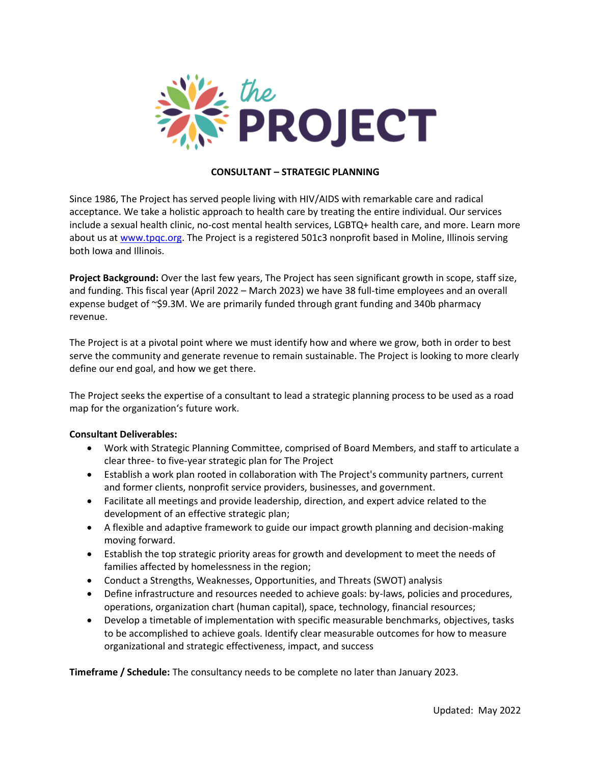

## **CONSULTANT – STRATEGIC PLANNING**

Since 1986, The Project has served people living with HIV/AIDS with remarkable care and radical acceptance. We take a holistic approach to health care by treating the entire individual. Our services include a sexual health clinic, no-cost mental health services, LGBTQ+ health care, and more. Learn more about us at [www.tpqc.org.](http://www.tpqc.org/) The Project is a registered 501c3 nonprofit based in Moline, Illinois serving both Iowa and Illinois.

**Project Background:** Over the last few years, The Project has seen significant growth in scope, staff size, and funding. This fiscal year (April 2022 – March 2023) we have 38 full-time employees and an overall expense budget of ~\$9.3M. We are primarily funded through grant funding and 340b pharmacy revenue.

The Project is at a pivotal point where we must identify how and where we grow, both in order to best serve the community and generate revenue to remain sustainable. The Project is looking to more clearly define our end goal, and how we get there.

The Project seeks the expertise of a consultant to lead a strategic planning process to be used as a road map for the organization's future work.

## **Consultant Deliverables:**

- Work with Strategic Planning Committee, comprised of Board Members, and staff to articulate a clear three- to five-year strategic plan for The Project
- Establish a work plan rooted in collaboration with The Project's community partners, current and former clients, nonprofit service providers, businesses, and government.
- Facilitate all meetings and provide leadership, direction, and expert advice related to the development of an effective strategic plan;
- A flexible and adaptive framework to guide our impact growth planning and decision-making moving forward.
- Establish the top strategic priority areas for growth and development to meet the needs of families affected by homelessness in the region;
- Conduct a Strengths, Weaknesses, Opportunities, and Threats (SWOT) analysis
- Define infrastructure and resources needed to achieve goals: by-laws, policies and procedures, operations, organization chart (human capital), space, technology, financial resources;
- Develop a timetable of implementation with specific measurable benchmarks, objectives, tasks to be accomplished to achieve goals. Identify clear measurable outcomes for how to measure organizational and strategic effectiveness, impact, and success

**Timeframe / Schedule:** The consultancy needs to be complete no later than January 2023.